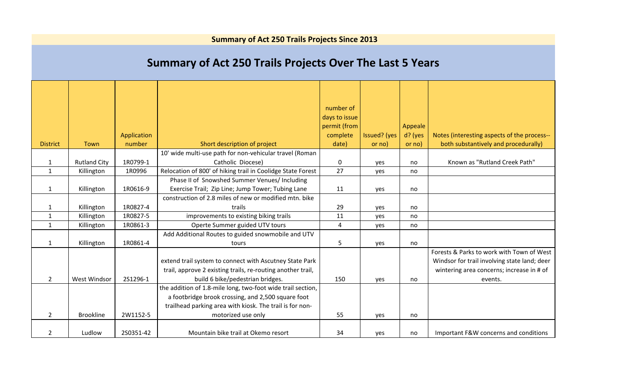|  |  |  | <b>Summary of Act 250 Trails Projects Since 2013</b> |
|--|--|--|------------------------------------------------------|
|--|--|--|------------------------------------------------------|

## **Summary of Act 250 Trails Projects Over The Last 5 Years**

|                 |                     | Application |                                                                                                                                                                               | number of<br>days to issue<br>permit (from<br>complete | Issued? (yes | Appeale<br>d? (yes | Notes (interesting aspects of the process--                                                                                            |
|-----------------|---------------------|-------------|-------------------------------------------------------------------------------------------------------------------------------------------------------------------------------|--------------------------------------------------------|--------------|--------------------|----------------------------------------------------------------------------------------------------------------------------------------|
| <b>District</b> | Town                | number      | Short description of project                                                                                                                                                  | date)                                                  | or no)       | or no)             | both substantively and procedurally)                                                                                                   |
|                 |                     |             | 10' wide multi-use path for non-vehicular travel (Roman                                                                                                                       |                                                        |              |                    |                                                                                                                                        |
| 1               | <b>Rutland City</b> | 1R0799-1    | Catholic Diocese)                                                                                                                                                             | 0                                                      | yes          | no                 | Known as "Rutland Creek Path"                                                                                                          |
| $\mathbf{1}$    | Killington          | 1R0996      | Relocation of 800' of hiking trail in Coolidge State Forest                                                                                                                   | 27                                                     | yes          | no                 |                                                                                                                                        |
|                 |                     |             | Phase II of Snowshed Summer Venues/ Including                                                                                                                                 |                                                        |              |                    |                                                                                                                                        |
| $\mathbf{1}$    | Killington          | 1R0616-9    | Exercise Trail; Zip Line; Jump Tower; Tubing Lane                                                                                                                             | 11                                                     | yes          | no                 |                                                                                                                                        |
|                 |                     |             | construction of 2.8 miles of new or modified mtn. bike                                                                                                                        |                                                        |              |                    |                                                                                                                                        |
| 1               | Killington          | 1R0827-4    | trails                                                                                                                                                                        | 29                                                     | yes          | no                 |                                                                                                                                        |
| $\mathbf{1}$    | Killington          | 1R0827-5    | improvements to existing biking trails                                                                                                                                        | 11                                                     | yes          | no                 |                                                                                                                                        |
| $\mathbf{1}$    | Killington          | 1R0861-3    | Operte Summer guided UTV tours                                                                                                                                                | 4                                                      | yes          | no                 |                                                                                                                                        |
|                 |                     |             | Add Additional Routes to guided snowmobile and UTV                                                                                                                            |                                                        |              |                    |                                                                                                                                        |
| 1               | Killington          | 1R0861-4    | tours                                                                                                                                                                         | 5                                                      | yes          | no                 |                                                                                                                                        |
|                 |                     |             | extend trail system to connect with Ascutney State Park<br>trail, approve 2 existing trails, re-routing another trail,                                                        |                                                        |              |                    | Forests & Parks to work with Town of West<br>Windsor for trail involving state land; deer<br>wintering area concerns; increase in # of |
| $\mathbf{2}$    | West Windsor        | 2S1296-1    | build 6 bike/pedestrian bridges.                                                                                                                                              | 150                                                    | yes          | no                 | events.                                                                                                                                |
|                 | <b>Brookline</b>    | 2W1152-5    | the addition of 1.8-mile long, two-foot wide trail section,<br>a footbridge brook crossing, and 2,500 square foot<br>trailhead parking area with kiosk. The trail is for non- | 55                                                     |              |                    |                                                                                                                                        |
| $\mathbf{2}$    |                     |             | motorized use only                                                                                                                                                            |                                                        | yes          | no                 |                                                                                                                                        |
| $\overline{2}$  | Ludlow              | 2S0351-42   | Mountain bike trail at Okemo resort                                                                                                                                           | 34                                                     | yes          | no                 | Important F&W concerns and conditions                                                                                                  |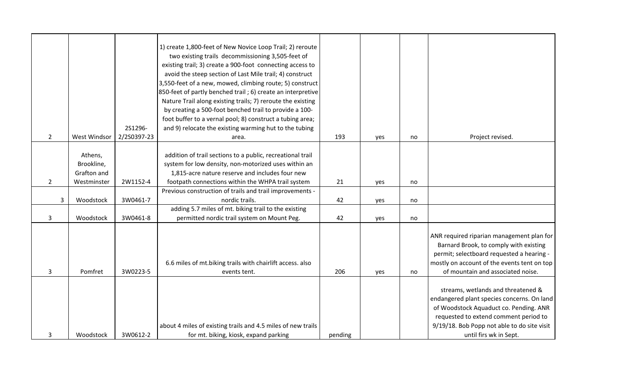|                |              |             | 1) create 1,800-feet of New Novice Loop Trail; 2) reroute    |         |     |    |                                             |
|----------------|--------------|-------------|--------------------------------------------------------------|---------|-----|----|---------------------------------------------|
|                |              |             | two existing trails decommissioning 3,505-feet of            |         |     |    |                                             |
|                |              |             | existing trail; 3) create a 900-foot connecting access to    |         |     |    |                                             |
|                |              |             | avoid the steep section of Last Mile trail; 4) construct     |         |     |    |                                             |
|                |              |             | 3,550-feet of a new, mowed, climbing route; 5) construct     |         |     |    |                                             |
|                |              |             | 850-feet of partly benched trail; 6) create an interpretive  |         |     |    |                                             |
|                |              |             | Nature Trail along existing trails; 7) reroute the existing  |         |     |    |                                             |
|                |              |             | by creating a 500-foot benched trail to provide a 100-       |         |     |    |                                             |
|                |              |             | foot buffer to a vernal pool; 8) construct a tubing area;    |         |     |    |                                             |
|                |              | 2S1296-     | and 9) relocate the existing warming hut to the tubing       |         |     |    |                                             |
| $\overline{2}$ | West Windsor | 2/2S0397-23 | area.                                                        | 193     | yes | no | Project revised.                            |
|                |              |             |                                                              |         |     |    |                                             |
|                | Athens,      |             | addition of trail sections to a public, recreational trail   |         |     |    |                                             |
|                | Brookline,   |             | system for low density, non-motorized uses within an         |         |     |    |                                             |
|                | Grafton and  |             | 1,815-acre nature reserve and includes four new              |         |     |    |                                             |
| $\overline{2}$ | Westminster  | 2W1152-4    | footpath connections within the WHPA trail system            | 21      | yes | no |                                             |
|                |              |             | Previous construction of trails and trail improvements -     |         |     |    |                                             |
| $\mathbf{3}$   | Woodstock    | 3W0461-7    | nordic trails.                                               | 42      | yes | no |                                             |
|                |              |             | adding 5.7 miles of mt. biking trail to the existing         |         |     |    |                                             |
| $\mathbf{3}$   | Woodstock    | 3W0461-8    | permitted nordic trail system on Mount Peg.                  | 42      | yes | no |                                             |
|                |              |             |                                                              |         |     |    |                                             |
|                |              |             |                                                              |         |     |    | ANR required riparian management plan for   |
|                |              |             |                                                              |         |     |    | Barnard Brook, to comply with existing      |
|                |              |             |                                                              |         |     |    | permit; selectboard requested a hearing -   |
|                |              |             | 6.6 miles of mt.biking trails with chairlift access. also    |         |     |    | mostly on account of the events tent on top |
| 3              | Pomfret      | 3W0223-5    | events tent.                                                 | 206     | yes | no | of mountain and associated noise.           |
|                |              |             |                                                              |         |     |    |                                             |
|                |              |             |                                                              |         |     |    | streams, wetlands and threatened &          |
|                |              |             |                                                              |         |     |    | endangered plant species concerns. On land  |
|                |              |             |                                                              |         |     |    | of Woodstock Aquaduct co. Pending. ANR      |
|                |              |             |                                                              |         |     |    | requested to extend comment period to       |
|                |              |             | about 4 miles of existing trails and 4.5 miles of new trails |         |     |    | 9/19/18. Bob Popp not able to do site visit |
| 3              | Woodstock    | 3W0612-2    | for mt. biking, kiosk, expand parking                        | pending |     |    | until firs wk in Sept.                      |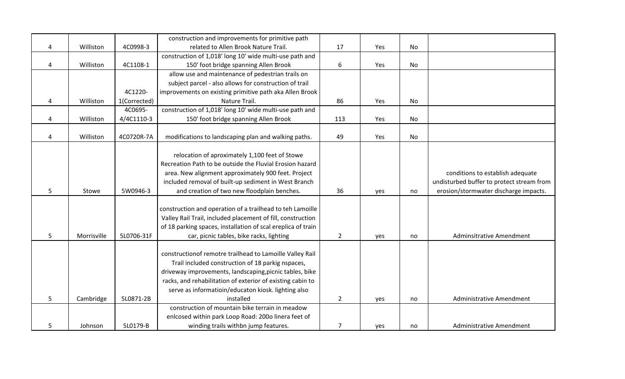|   |             |              | construction and improvements for primitive path             |                |     |    |                                           |
|---|-------------|--------------|--------------------------------------------------------------|----------------|-----|----|-------------------------------------------|
| 4 | Williston   | 4C0998-3     | related to Allen Brook Nature Trail.                         | 17             | Yes | No |                                           |
|   |             |              | construction of 1,018' long 10' wide multi-use path and      |                |     |    |                                           |
| 4 | Williston   | 4C1108-1     | 150' foot bridge spanning Allen Brook                        | 6              | Yes | No |                                           |
|   |             |              | allow use and maintenance of pedestrian trails on            |                |     |    |                                           |
|   |             |              | subject parcel - also allows for construction of trail       |                |     |    |                                           |
|   |             | 4C1220-      | improvements on existing primitive path aka Allen Brook      |                |     |    |                                           |
| 4 | Williston   | 1(Corrected) | Nature Trail.                                                | 86             | Yes | No |                                           |
|   |             | 4C0695-      | construction of 1,018' long 10' wide multi-use path and      |                |     |    |                                           |
| 4 | Williston   | 4/4C1110-3   | 150' foot bridge spanning Allen Brook                        | 113            | Yes | No |                                           |
|   |             |              |                                                              |                |     |    |                                           |
| 4 | Williston   | 4C0720R-7A   | modifications to landscaping plan and walking paths.         | 49             | Yes | No |                                           |
|   |             |              |                                                              |                |     |    |                                           |
|   |             |              | relocation of aproximately 1,100 feet of Stowe               |                |     |    |                                           |
|   |             |              | Recreation Path to be outside the Fluvial Erosion hazard     |                |     |    |                                           |
|   |             |              | area. New alignment approximately 900 feet. Project          |                |     |    | conditions to establish adequate          |
|   |             |              | included removal of built-up sediment in West Branch         |                |     |    | undisturbed buffer to protect stream from |
| 5 | Stowe       | 5W0946-3     | and creation of two new floodplain benches.                  | 36             | yes | no | erosion/stormwater discharge impacts.     |
|   |             |              |                                                              |                |     |    |                                           |
|   |             |              | construction and operation of a trailhead to teh Lamoille    |                |     |    |                                           |
|   |             |              | Valley Rail Trail, included placement of fill, construction  |                |     |    |                                           |
|   |             |              | of 18 parking spaces, installation of scal ereplica of train |                |     |    |                                           |
| 5 | Morrisville | 5L0706-31F   | car, picnic tables, bike racks, lighting                     | $\overline{2}$ | yes | no | Adminsitrative Amendment                  |
|   |             |              |                                                              |                |     |    |                                           |
|   |             |              | constructionof remotre trailhead to Lamoille Valley Rail     |                |     |    |                                           |
|   |             |              | Trail included construction of 18 parkig nspaces,            |                |     |    |                                           |
|   |             |              | driveway improvements, landscaping, picnic tables, bike      |                |     |    |                                           |
|   |             |              | racks, and rehabilitation of exterior of existing cabin to   |                |     |    |                                           |
|   |             |              | serve as informatioin/educaton kiosk. lighting also          |                |     |    |                                           |
| 5 | Cambridge   | 5L0871-2B    | installed                                                    | $\overline{2}$ | yes | no | Administrative Amendment                  |
|   |             |              | construction of mountain bike terrain in meadow              |                |     |    |                                           |
|   |             |              | enlcosed within park Loop Road: 200o linera feet of          |                |     |    |                                           |
| 5 | Johnson     | 5L0179-B     | winding trails withbn jump features.                         | $\overline{7}$ | yes | no | Administrative Amendment                  |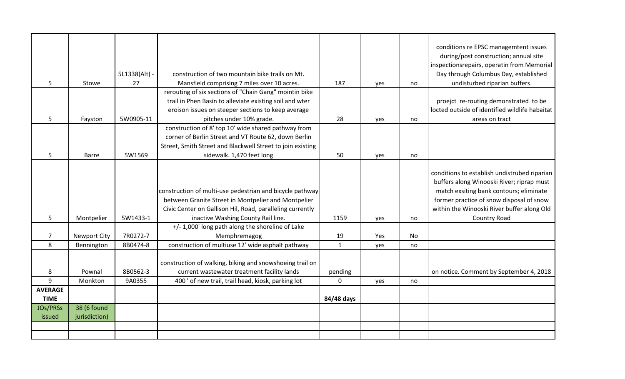|                 |                     |               |                                                            |              |     |    | conditions re EPSC managemtent issues<br>during/post construction; annual site<br>inspectionsrepairs, operatin from Memorial         |
|-----------------|---------------------|---------------|------------------------------------------------------------|--------------|-----|----|--------------------------------------------------------------------------------------------------------------------------------------|
|                 |                     | 5L1338(Alt) - | construction of two mountain bike trails on Mt.            |              |     |    | Day through Columbus Day, established                                                                                                |
| 5               | Stowe               | 27            | Mansfield comprising 7 miles over 10 acres.                | 187          | yes | no | undisturbed riparian buffers.                                                                                                        |
|                 |                     |               | rerouting of six sections of "Chain Gang" mointin bike     |              |     |    |                                                                                                                                      |
|                 |                     |               | trail in Phen Basin to alleviate existing soil and wter    |              |     |    | proejct re-routing demonstrated to be                                                                                                |
|                 |                     |               | eroison issues on steeper sections to keep average         |              |     |    | locted outside of identified wildlife habaitat                                                                                       |
| 5               | Fayston             | 5W0905-11     | pitches under 10% grade.                                   | 28           | yes | no | areas on tract                                                                                                                       |
|                 |                     |               | construction of 8' top 10' wide shared pathway from        |              |     |    |                                                                                                                                      |
|                 |                     |               | corner of Berlin Street and VT Route 62, down Berlin       |              |     |    |                                                                                                                                      |
|                 |                     |               | Street, Smith Street and Blackwell Street to join existing |              |     |    |                                                                                                                                      |
| 5 <sub>1</sub>  | Barre               | 5W1569        | sidewalk. 1,470 feet long                                  | 50           | yes | no |                                                                                                                                      |
|                 |                     |               | construction of multi-use pedestrian and bicycle pathway   |              |     |    | conditions to establish undistrubed riparian<br>buffers along Winooski River; riprap must<br>match exsiting bank contours; eliminate |
|                 |                     |               | between Granite Street in Montpelier and Montpelier        |              |     |    | former practice of snow disposal of snow                                                                                             |
|                 |                     |               | Civic Center on Gallison Hil, Road, paralleling currently  |              |     |    | within the Winooski River buffer along Old                                                                                           |
| 5               | Montpelier          | 5W1433-1      | inactive Washing County Rail line.                         | 1159         | yes | no | Country Road                                                                                                                         |
|                 |                     |               | +/- 1,000' long path along the shoreline of Lake           |              |     |    |                                                                                                                                      |
| $\overline{7}$  | <b>Newport City</b> | 7R0272-7      | Memphremagog                                               | 19           | Yes | No |                                                                                                                                      |
| 8               | Bennington          | 8B0474-8      | construction of multiuse 12' wide asphalt pathway          | $\mathbf{1}$ | yes | no |                                                                                                                                      |
|                 |                     |               |                                                            |              |     |    |                                                                                                                                      |
|                 |                     |               | construction of walking, biking and snowshoeing trail on   |              |     |    |                                                                                                                                      |
| 8               | Pownal              | 8B0562-3      | current wastewater treatment facility lands                | pending      |     |    | on notice. Comment by September 4, 2018                                                                                              |
| $\overline{9}$  | Monkton             | 9A0355        | 400' of new trail, trail head, kiosk, parking lot          | $\Omega$     | yes | no |                                                                                                                                      |
| <b>AVERAGE</b>  |                     |               |                                                            |              |     |    |                                                                                                                                      |
| <b>TIME</b>     |                     |               |                                                            | 84/48 days   |     |    |                                                                                                                                      |
| <b>JOs/PRSs</b> | 38 (6 found         |               |                                                            |              |     |    |                                                                                                                                      |
| issued          | jurisdiction)       |               |                                                            |              |     |    |                                                                                                                                      |
|                 |                     |               |                                                            |              |     |    |                                                                                                                                      |
|                 |                     |               |                                                            |              |     |    |                                                                                                                                      |